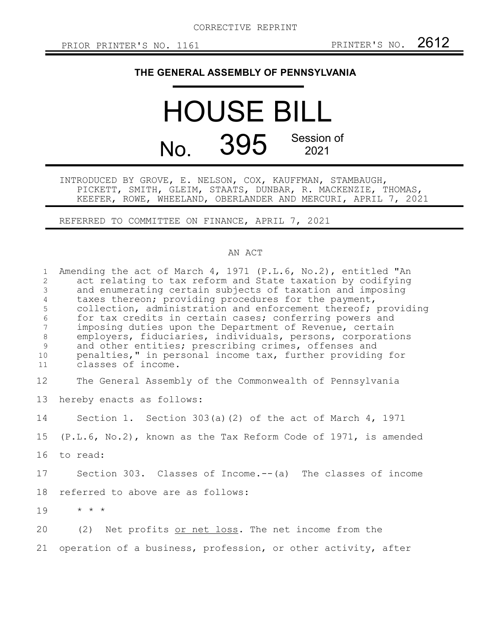## **THE GENERAL ASSEMBLY OF PENNSYLVANIA**

## HOUSE BILL No. 395 Session of 2021

INTRODUCED BY GROVE, E. NELSON, COX, KAUFFMAN, STAMBAUGH, PICKETT, SMITH, GLEIM, STAATS, DUNBAR, R. MACKENZIE, THOMAS, KEEFER, ROWE, WHEELAND, OBERLANDER AND MERCURI, APRIL 7, 2021

REFERRED TO COMMITTEE ON FINANCE, APRIL 7, 2021

## AN ACT

| $\mathbf{1}$<br>2<br>$\mathcal{S}$<br>$\sqrt{4}$<br>5<br>$\epsilon$<br>$7\phantom{.0}$<br>$8\,$<br>$\mathsf 9$<br>10 <sup>°</sup><br>11 | Amending the act of March 4, 1971 (P.L.6, No.2), entitled "An<br>act relating to tax reform and State taxation by codifying<br>and enumerating certain subjects of taxation and imposing<br>taxes thereon; providing procedures for the payment,<br>collection, administration and enforcement thereof; providing<br>for tax credits in certain cases; conferring powers and<br>imposing duties upon the Department of Revenue, certain<br>employers, fiduciaries, individuals, persons, corporations<br>and other entities; prescribing crimes, offenses and<br>penalties," in personal income tax, further providing for<br>classes of income. |
|-----------------------------------------------------------------------------------------------------------------------------------------|--------------------------------------------------------------------------------------------------------------------------------------------------------------------------------------------------------------------------------------------------------------------------------------------------------------------------------------------------------------------------------------------------------------------------------------------------------------------------------------------------------------------------------------------------------------------------------------------------------------------------------------------------|
| 12                                                                                                                                      | The General Assembly of the Commonwealth of Pennsylvania                                                                                                                                                                                                                                                                                                                                                                                                                                                                                                                                                                                         |
| 13                                                                                                                                      | hereby enacts as follows:                                                                                                                                                                                                                                                                                                                                                                                                                                                                                                                                                                                                                        |
| 14                                                                                                                                      | Section 1. Section 303(a)(2) of the act of March 4, 1971                                                                                                                                                                                                                                                                                                                                                                                                                                                                                                                                                                                         |
| 15                                                                                                                                      | $(P.L.6, No.2)$ , known as the Tax Reform Code of 1971, is amended                                                                                                                                                                                                                                                                                                                                                                                                                                                                                                                                                                               |
| 16                                                                                                                                      | to read:                                                                                                                                                                                                                                                                                                                                                                                                                                                                                                                                                                                                                                         |
| 17                                                                                                                                      | Section 303. Classes of Income.--(a) The classes of income                                                                                                                                                                                                                                                                                                                                                                                                                                                                                                                                                                                       |
| 18                                                                                                                                      | referred to above are as follows:                                                                                                                                                                                                                                                                                                                                                                                                                                                                                                                                                                                                                |
| 19                                                                                                                                      | $\star$ $\star$ $\star$                                                                                                                                                                                                                                                                                                                                                                                                                                                                                                                                                                                                                          |
| 20                                                                                                                                      | (2) Net profits or net loss. The net income from the                                                                                                                                                                                                                                                                                                                                                                                                                                                                                                                                                                                             |
| 21                                                                                                                                      | operation of a business, profession, or other activity, after                                                                                                                                                                                                                                                                                                                                                                                                                                                                                                                                                                                    |